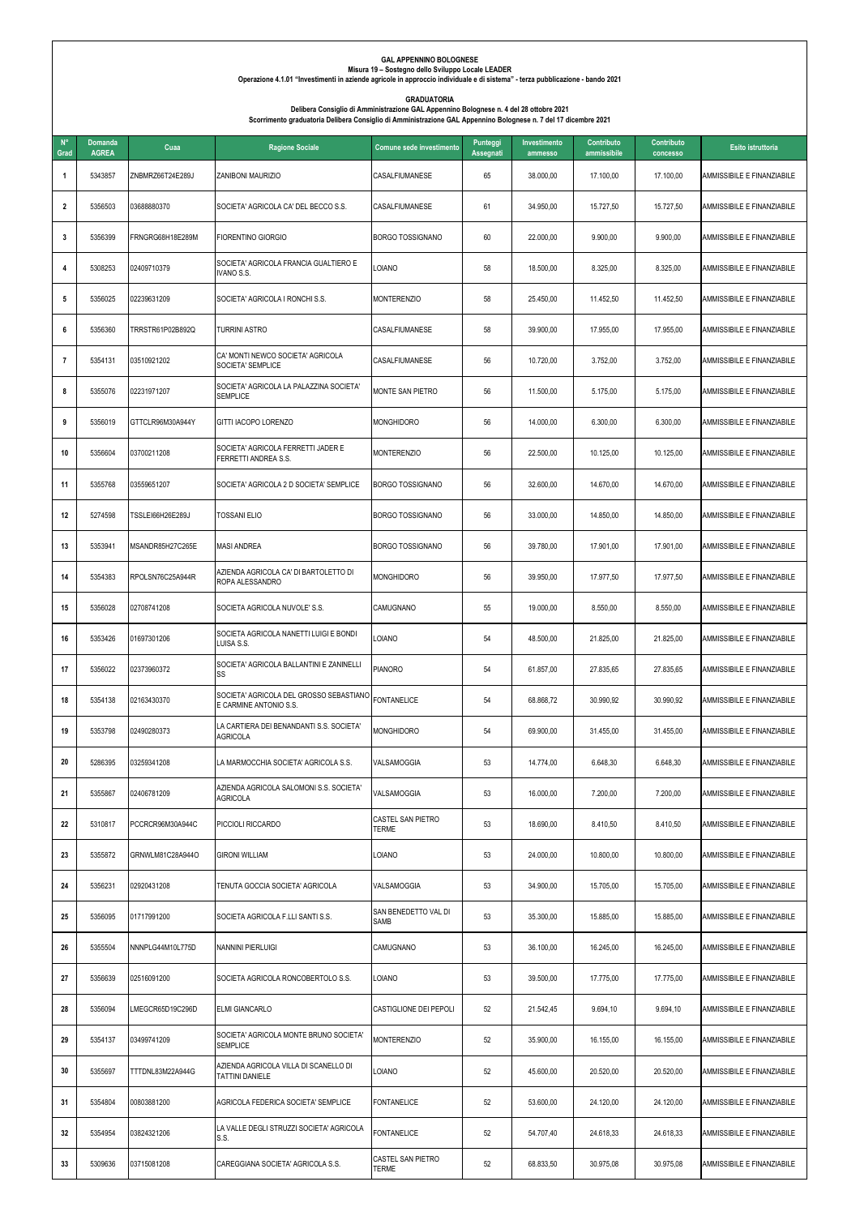| $N^{\circ}$<br>Grad | <b>Domanda</b><br><b>AGREA</b> | Cuaa             | <b>Ragione Sociale</b>                                            | Comune sede investimento                 | Punteggi<br>Assegnati | Investimento<br>ammesso | Contributo<br>ammissibile | Contributo<br>concesso | Esito istruttoria          |
|---------------------|--------------------------------|------------------|-------------------------------------------------------------------|------------------------------------------|-----------------------|-------------------------|---------------------------|------------------------|----------------------------|
| $\mathbf{1}$        | 5343857                        | ZNBMRZ66T24E289J | ZANIBONI MAURIZIO                                                 | CASALFIUMANESE                           | 65                    | 38.000,00               | 17.100,00                 | 17.100,00              | AMMISSIBILE E FINANZIABILE |
| $\mathbf{2}$        | 5356503                        | 03688880370      | SOCIETA' AGRICOLA CA' DEL BECCO S.S.                              | CASALFIUMANESE                           | 61                    | 34.950,00               | 15.727,50                 | 15.727,50              | AMMISSIBILE E FINANZIABILE |
| 3                   | 5356399                        | FRNGRG68H18E289M | FIORENTINO GIORGIO                                                | <b>BORGO TOSSIGNANO</b>                  | 60                    | 22.000,00               | 9.900,00                  | 9.900,00               | AMMISSIBILE E FINANZIABILE |
| 4                   | 5308253                        | 02409710379      | SOCIETA' AGRICOLA FRANCIA GUALTIERO E<br>VANO S.S.                | LOIANO                                   | 58                    | 18.500,00               | 8.325,00                  | 8.325,00               | AMMISSIBILE E FINANZIABILE |
| 5                   | 5356025                        | 02239631209      | SOCIETA' AGRICOLA I RONCHI S.S.                                   | <b>MONTERENZIO</b>                       | 58                    | 25.450,00               | 11.452,50                 | 11.452,50              | AMMISSIBILE E FINANZIABILE |
| 6                   | 5356360                        | TRRSTR61P02B892Q | <b>TURRINI ASTRO</b>                                              | CASALFIUMANESE                           | 58                    | 39.900,00               | 17.955,00                 | 17.955,00              | AMMISSIBILE E FINANZIABILE |
| $\overline{7}$      | 5354131                        | 03510921202      | CA' MONTI NEWCO SOCIETA' AGRICOLA<br>SOCIETA' SEMPLICE            | CASALFIUMANESE                           | 56                    | 10.720,00               | 3.752,00                  | 3.752,00               | AMMISSIBILE E FINANZIABILE |
| 8                   | 5355076                        | 02231971207      | SOCIETA' AGRICOLA LA PALAZZINA SOCIETA'<br><b>SEMPLICE</b>        | MONTE SAN PIETRO                         | 56                    | 11.500,00               | 5.175,00                  | 5.175,00               | AMMISSIBILE E FINANZIABILE |
| 9                   | 5356019                        | GTTCLR96M30A944Y | GITTI IACOPO LORENZO                                              | <b>MONGHIDORO</b>                        | 56                    | 14.000,00               | 6.300,00                  | 6.300,00               | AMMISSIBILE E FINANZIABILE |
| 10                  | 5356604                        | 03700211208      | SOCIETA' AGRICOLA FERRETTI JADER E<br>FERRETTI ANDREA S.S.        | <b>MONTERENZIO</b>                       | 56                    | 22.500,00               | 10.125,00                 | 10.125,00              | AMMISSIBILE E FINANZIABILE |
| 11                  | 5355768                        | 03559651207      | SOCIETA' AGRICOLA 2 D SOCIETA' SEMPLICE                           | <b>BORGO TOSSIGNANO</b>                  | 56                    | 32.600,00               | 14.670,00                 | 14.670,00              | AMMISSIBILE E FINANZIABILE |
| 12                  | 5274598                        | TSSLEI66H26E289J | <b>TOSSANI ELIO</b>                                               | <b>BORGO TOSSIGNANO</b>                  | 56                    | 33.000,00               | 14.850,00                 | 14.850,00              | AMMISSIBILE E FINANZIABILE |
| 13                  | 5353941                        | MSANDR85H27C265E | <b>MASI ANDREA</b>                                                | <b>BORGO TOSSIGNANO</b>                  | 56                    | 39.780,00               | 17.901,00                 | 17.901.00              | AMMISSIBILE E FINANZIABILE |
| 14                  | 5354383                        | RPOLSN76C25A944R | AZIENDA AGRICOLA CA' DI BARTOLETTO DI<br>ROPA ALESSANDRO          | <b>MONGHIDORO</b>                        | 56                    | 39.950,00               | 17.977,50                 | 17.977,50              | AMMISSIBILE E FINANZIABILE |
| 15                  | 5356028                        | 02708741208      | SOCIETA AGRICOLA NUVOLE'S.S.                                      | CAMUGNANO                                | 55                    | 19.000,00               | 8.550,00                  | 8.550,00               | AMMISSIBILE E FINANZIABILE |
| 16                  | 5353426                        | 01697301206      | SOCIETA AGRICOLA NANETTI LUIGI E BONDI<br>LUISA S.S.              | <b>LOIANO</b>                            | 54                    | 48.500,00               | 21.825,00                 | 21.825,00              | AMMISSIBILE E FINANZIABILE |
| 17                  | 5356022                        | 02373960372      | SOCIETA' AGRICOLA BALLANTINI E ZANINELLI<br>SS                    | <b>PIANORO</b>                           | 54                    | 61.857,00               | 27.835,65                 | 27.835,65              | AMMISSIBILE E FINANZIABILE |
| 18                  | 5354138                        | 02163430370      | SOCIETA' AGRICOLA DEL GROSSO SEBASTIANO<br>E CARMINE ANTONIO S.S. | <b>FONTANELICE</b>                       | 54                    | 68.868,72               | 30.990,92                 | 30.990,92              | AMMISSIBILE E FINANZIABILE |
| 19                  | 5353798                        | 02490280373      | LA CARTIERA DEI BENANDANTI S.S. SOCIETA'<br>AGRICOLA              | Monghidoro                               | 54                    | 69.900,00               | 31.455,00                 | 31.455,00              | AMMISSIBILE E FINANZIABILE |
| 20                  | 5286395                        | 03259341208      | LA MARMOCCHIA SOCIETA' AGRICOLA S.S.                              | VALSAMOGGIA                              | 53                    | 14.774,00               | 6.648,30                  | 6.648,30               | AMMISSIBILE E FINANZIABILE |
| 21                  | 5355867                        | 02406781209      | AZIENDA AGRICOLA SALOMONI S.S. SOCIETA'<br><b>AGRICOLA</b>        | VALSAMOGGIA                              | 53                    | 16.000,00               | 7.200,00                  | 7.200,00               | AMMISSIBILE E FINANZIABILE |
| 22                  | 5310817                        | PCCRCR96M30A944C | PICCIOLI RICCARDO                                                 | <b>CASTEL SAN PIETRO</b><br><b>TERME</b> | 53                    | 18.690,00               | 8.410,50                  | 8.410,50               | AMMISSIBILE E FINANZIABILE |
| 23                  | 5355872                        | GRNWLM81C28A944O | GIRONI WILLIAM                                                    | LOIANO                                   | 53                    | 24.000,00               | 10.800,00                 | 10.800,00              | AMMISSIBILE E FINANZIABILE |
| 24                  | 5356231                        | 02920431208      | TENUTA GOCCIA SOCIETA' AGRICOLA                                   | VALSAMOGGIA                              | 53                    | 34.900,00               | 15.705,00                 | 15.705,00              | AMMISSIBILE E FINANZIABILE |
| 25                  | 5356095                        | 01717991200      | SOCIETA AGRICOLA F.LLI SANTI S.S.                                 | SAN BENEDETTO VAL DI<br>SAMB             | 53                    | 35.300,00               | 15.885,00                 | 15.885,00              | AMMISSIBILE E FINANZIABILE |
| 26                  | 5355504                        | NNNPLG44M10L775D | NANNINI PIERLUIGI                                                 | CAMUGNANO                                | 53                    | 36.100,00               | 16.245.00                 | 16.245,00              | AMMISSIBILE E FINANZIABILE |
| 27                  | 5356639                        | 02516091200      | SOCIETA AGRICOLA RONCOBERTOLO S.S.                                | LOIANO                                   | 53                    | 39.500,00               | 17.775,00                 | 17.775,00              | AMMISSIBILE E FINANZIABILE |
| 28                  | 5356094                        | LMEGCR65D19C296D | ELMI GIANCARLO                                                    | CASTIGLIONE DEI PEPOLI                   | 52                    | 21.542,45               | 9.694,10                  | 9.694,10               | AMMISSIBILE E FINANZIABILE |
| 29                  | 5354137                        | 03499741209      | SOCIETA' AGRICOLA MONTE BRUNO SOCIETA'<br><b>SEMPLICE</b>         | <b>MONTERENZIO</b>                       | 52                    | 35.900,00               | 16.155,00                 | 16.155,00              | AMMISSIBILE E FINANZIABILE |
| 30                  | 5355697                        | TTTDNL83M22A944G | AZIENDA AGRICOLA VILLA DI SCANELLO DI<br>TATTINI DANIELE          | LOIANO                                   | 52                    | 45.600,00               | 20.520,00                 | 20.520,00              | AMMISSIBILE E FINANZIABILE |
| 31                  | 5354804                        | 00803881200      | AGRICOLA FEDERICA SOCIETA' SEMPLICE                               | <b>FONTANELICE</b>                       | 52                    | 53.600,00               | 24.120,00                 | 24.120,00              | AMMISSIBILE E FINANZIABILE |
| 32                  | 5354954                        | 03824321206      | LA VALLE DEGLI STRUZZI SOCIETA' AGRICOLA<br>S.S.                  | <b>FONTANELICE</b>                       | 52                    | 54.707,40               | 24.618,33                 | 24.618,33              | AMMISSIBILE E FINANZIABILE |
| 33                  | 5309636                        | 03715081208      | CAREGGIANA SOCIETA' AGRICOLA S.S.                                 | <b>CASTEL SAN PIETRO</b><br>TERME        | 52                    | 68.833,50               | 30.975,08                 | 30.975,08              | AMMISSIBILE E FINANZIABILE |

## **GAL APPENNINO BOLOGNESE**

## **Misura 19 – Sostegno dello Sviluppo Locale LEADER**

**Operazione 4.1.01 "Investimenti in aziende agricole in approccio individuale e di sistema" - terza pubblicazione - bando 2021**

## **GRADUATORIA**

**Delibera Consiglio di Amministrazione GAL Appennino Bolognese n. 4 del 28 ottobre 2021 Scorrimento graduatoria Delibera Consiglio di Amministrazione GAL Appennino Bolognese n. 7 del 17 dicembre 2021**